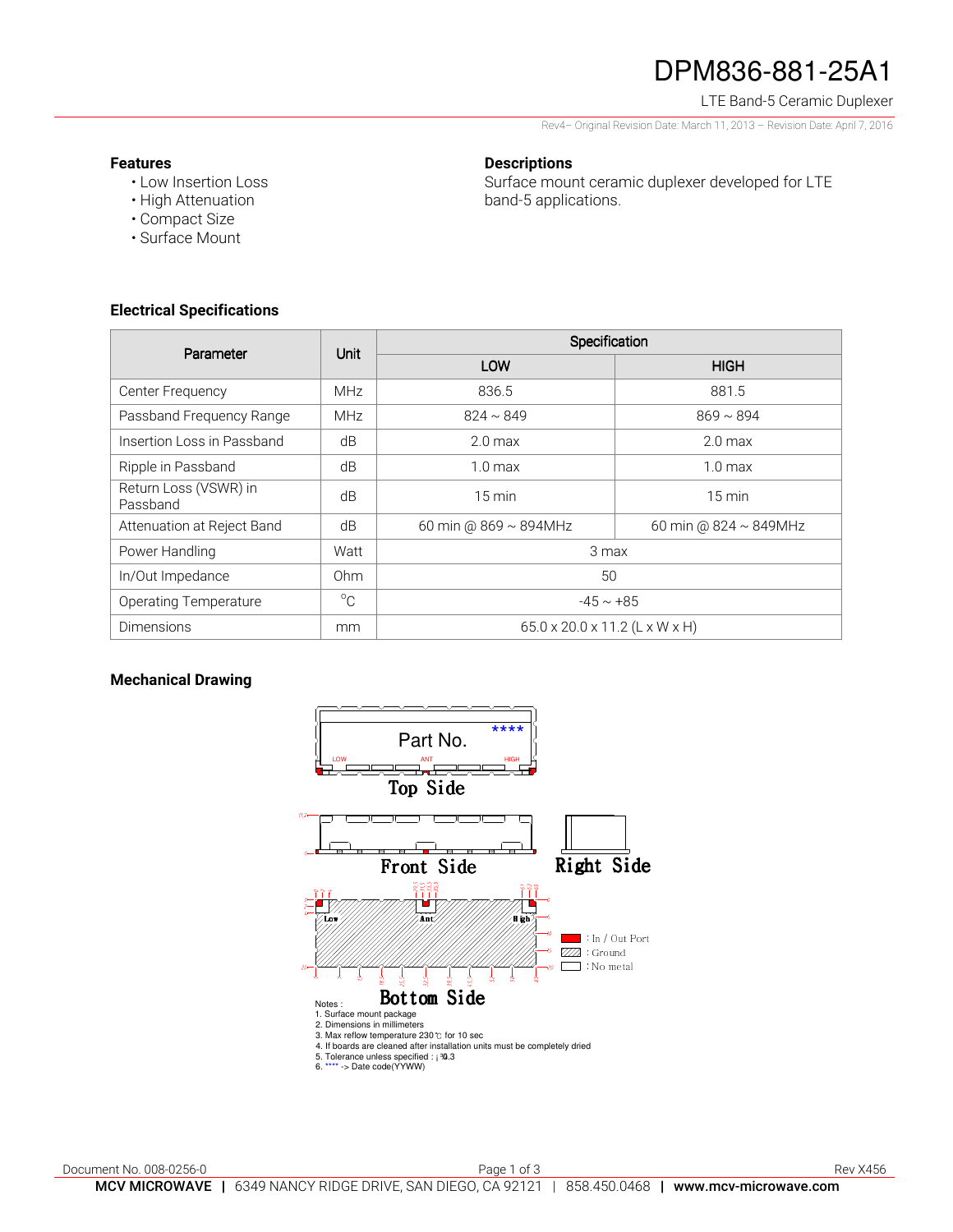# DPM836-881-25A1

LTE Band-5 Ceramic Duplexer

Rev4– Original Revision Date: March 11, 2013 – Revision Date: April 7, 2016

#### **Features**

• Low Insertion Loss

### **Descriptions**

Surface mount ceramic duplexer developed for LTE band-5 applications.

- High Attenuation • Compact Size
- Surface Mount

### **Electrical Specifications**

| Parameter                         | <b>Unit</b> | Specification                  |                             |
|-----------------------------------|-------------|--------------------------------|-----------------------------|
|                                   |             | LOW                            | <b>HIGH</b>                 |
| Center Frequency                  | <b>MHz</b>  | 836.5                          | 881.5                       |
| Passband Frequency Range          | <b>MHz</b>  | $824 \sim 849$                 | $869 \sim 894$              |
| Insertion Loss in Passband        | dB          | 2.0 <sub>max</sub>             | 2.0 <sub>max</sub>          |
| Ripple in Passband                | dB          | $1.0 \text{ max}$              | $1.0 \text{ max}$           |
| Return Loss (VSWR) in<br>Passband | dB          | $15 \text{ min}$               | $15 \text{ min}$            |
| Attenuation at Reject Band        | dB          | 60 min @ 869 ~ 894MHz          | 60 min @ $824 \sim 849$ MHz |
| Power Handling                    | Watt        | 3 max                          |                             |
| In/Out Impedance                  | Ohm         | 50                             |                             |
| <b>Operating Temperature</b>      | $^{\circ}C$ | $-45 \sim +85$                 |                             |
| <b>Dimensions</b>                 | mm          | 65.0 x 20.0 x 11.2 (L x W x H) |                             |

### **Mechanical Drawing**

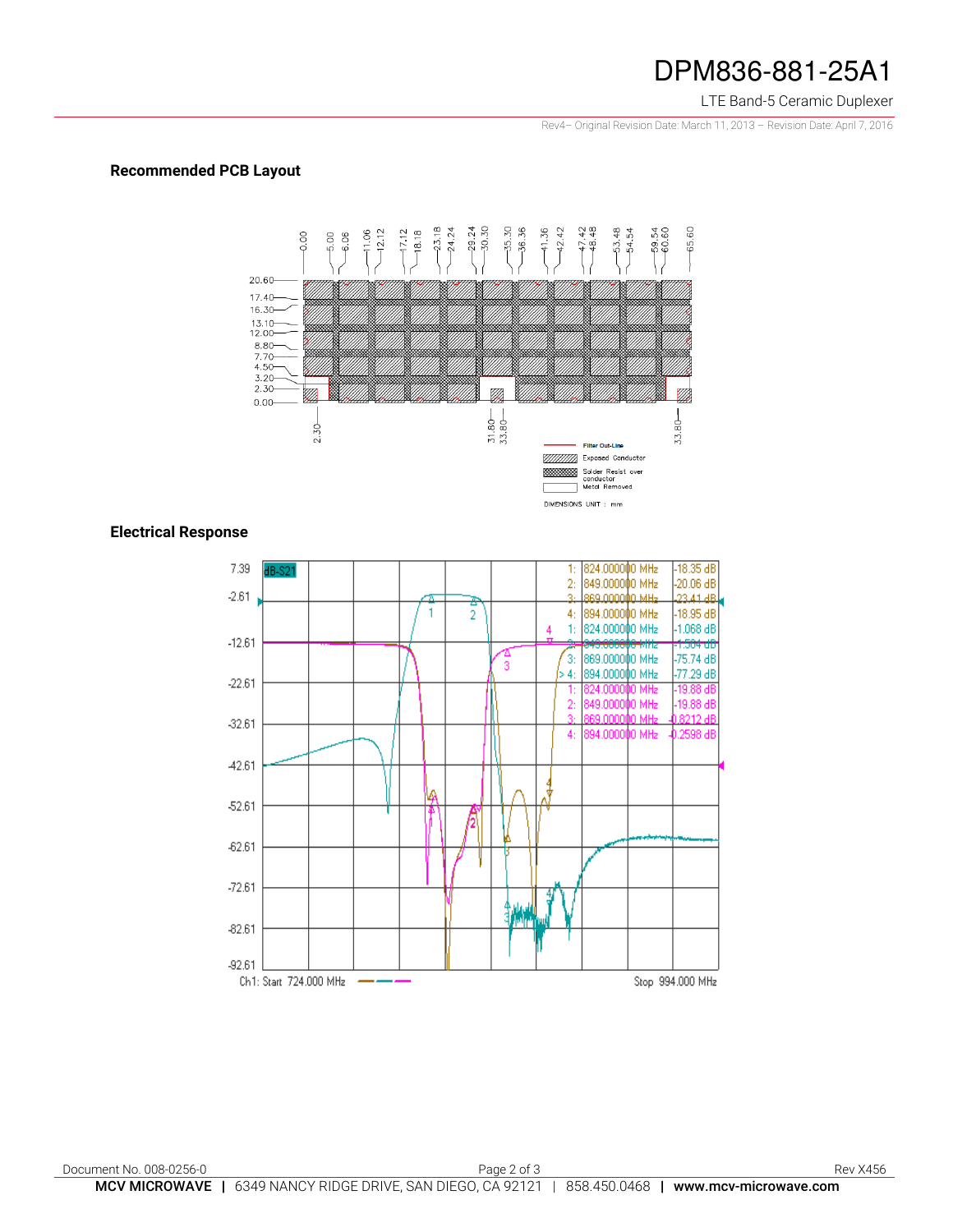## DPM836-881-25A1

#### LTE Band-5 Ceramic Duplexer

Rev4– Original Revision Date: March 11, 2013 – Revision Date: April 7, 2016

### **Recommended PCB Layout**



### **Electrical Response**